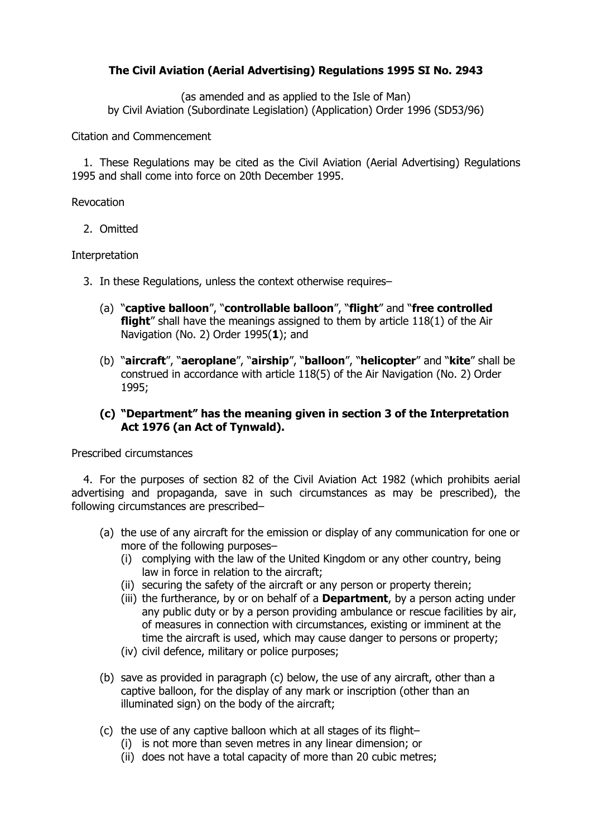# **The Civil Aviation (Aerial Advertising) Regulations 1995 SI No. 2943**

(as amended and as applied to the Isle of Man) by Civil Aviation (Subordinate Legislation) (Application) Order 1996 (SD53/96)

Citation and Commencement

1. These Regulations may be cited as the Civil Aviation (Aerial Advertising) Regulations 1995 and shall come into force on 20th December 1995.

Revocation

2. Omitted

### Interpretation

- 3. In these Regulations, unless the context otherwise requires–
	- (a) "**captive balloon**", "**controllable balloon**", "**flight**" and "**free controlled flight**" shall have the meanings assigned to them by article 118(1) of the Air Navigation (No. 2) Order 1995(**[1](http://www.legislation.gov.uk/uksi/1995/2943/regulation/3/made#f00004)**); and
	- (b) "**aircraft**", "**aeroplane**", "**airship**", "**balloon**", "**helicopter**" and "**kite**" shall be construed in accordance with article 118(5) of the Air Navigation (No. 2) Order 1995;

## **(c) "Department" has the meaning given in section 3 of the Interpretation Act 1976 (an Act of Tynwald).**

Prescribed circumstances

4. For the purposes of section 82 of the Civil Aviation Act 1982 (which prohibits aerial advertising and propaganda, save in such circumstances as may be prescribed), the following circumstances are prescribed–

- (a) the use of any aircraft for the emission or display of any communication for one or more of the following purposes–
	- (i) complying with the law of the United Kingdom or any other country, being law in force in relation to the aircraft;
	- (ii) securing the safety of the aircraft or any person or property therein;
	- (iii) the furtherance, by or on behalf of a **Department**, by a person acting under any public duty or by a person providing ambulance or rescue facilities by air, of measures in connection with circumstances, existing or imminent at the time the aircraft is used, which may cause danger to persons or property;
	- (iv) civil defence, military or police purposes;
- (b) save as provided in paragraph (c) below, the use of any aircraft, other than a captive balloon, for the display of any mark or inscription (other than an illuminated sign) on the body of the aircraft;
- (c) the use of any captive balloon which at all stages of its flight–
	- (i) is not more than seven metres in any linear dimension; or
	- (ii) does not have a total capacity of more than 20 cubic metres;